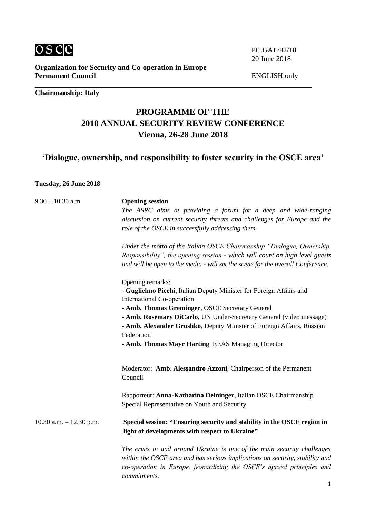

**Organization for Security and Co-operation in Europe Permanent Council**

## **Chairmanship: Italy**

# **PROGRAMME OF THE 2018 ANNUAL SECURITY REVIEW CONFERENCE Vienna, 26-28 June 2018**

**'Dialogue, ownership, and responsibility to foster security in the OSCE area'**

#### **Tuesday, 26 June 2018**

| $9.30 - 10.30$ a.m.       | <b>Opening session</b>                                                                                                                                                                                                                           |
|---------------------------|--------------------------------------------------------------------------------------------------------------------------------------------------------------------------------------------------------------------------------------------------|
|                           | The ASRC aims at providing a forum for a deep and wide-ranging                                                                                                                                                                                   |
|                           | discussion on current security threats and challenges for Europe and the                                                                                                                                                                         |
|                           | role of the OSCE in successfully addressing them.                                                                                                                                                                                                |
|                           | Under the motto of the Italian OSCE Chairmanship "Dialogue, Ownership,                                                                                                                                                                           |
|                           | Responsibility", the opening session - which will count on high level guests                                                                                                                                                                     |
|                           | and will be open to the media - will set the scene for the overall Conference.                                                                                                                                                                   |
|                           | Opening remarks:                                                                                                                                                                                                                                 |
|                           | - Guglielmo Picchi, Italian Deputy Minister for Foreign Affairs and<br>International Co-operation                                                                                                                                                |
|                           | - Amb. Thomas Greminger, OSCE Secretary General                                                                                                                                                                                                  |
|                           | - Amb. Rosemary DiCarlo, UN Under-Secretary General (video message)                                                                                                                                                                              |
|                           | - Amb. Alexander Grushko, Deputy Minister of Foreign Affairs, Russian                                                                                                                                                                            |
|                           | Federation                                                                                                                                                                                                                                       |
|                           | - Amb. Thomas Mayr Harting, EEAS Managing Director                                                                                                                                                                                               |
|                           | Moderator: Amb. Alessandro Azzoni, Chairperson of the Permanent<br>Council                                                                                                                                                                       |
|                           | Rapporteur: Anna-Katharina Deininger, Italian OSCE Chairmanship                                                                                                                                                                                  |
|                           | Special Representative on Youth and Security                                                                                                                                                                                                     |
| 10.30 a.m. $- 12.30$ p.m. | Special session: "Ensuring security and stability in the OSCE region in<br>light of developments with respect to Ukraine"                                                                                                                        |
|                           | The crisis in and around Ukraine is one of the main security challenges<br>within the OSCE area and has serious implications on security, stability and<br>co-operation in Europe, jeopardizing the OSCE's agreed principles and<br>commitments. |

ENGLISH only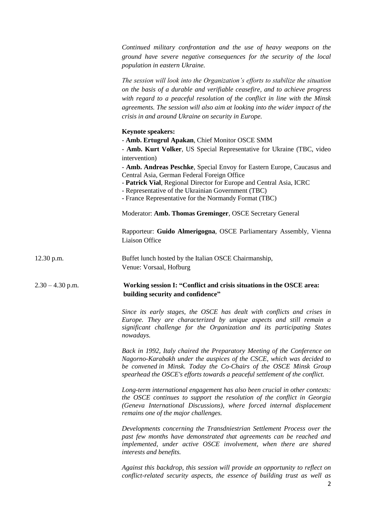|                    | Continued military confrontation and the use of heavy weapons on the<br>ground have severe negative consequences for the security of the local<br>population in eastern Ukraine.                                                                                                                                                                                                       |
|--------------------|----------------------------------------------------------------------------------------------------------------------------------------------------------------------------------------------------------------------------------------------------------------------------------------------------------------------------------------------------------------------------------------|
|                    | The session will look into the Organization's efforts to stabilize the situation<br>on the basis of a durable and verifiable ceasefire, and to achieve progress<br>with regard to a peaceful resolution of the conflict in line with the Minsk<br>agreements. The session will also aim at looking into the wider impact of the<br>crisis in and around Ukraine on security in Europe. |
|                    | <b>Keynote speakers:</b><br>- Amb. Ertugrul Apakan, Chief Monitor OSCE SMM<br>- Amb. Kurt Volker, US Special Representative for Ukraine (TBC, video<br>intervention)                                                                                                                                                                                                                   |
|                    | - Amb. Andreas Peschke, Special Envoy for Eastern Europe, Caucasus and<br>Central Asia, German Federal Foreign Office<br>- Patrick Vial, Regional Director for Europe and Central Asia, ICRC<br>- Representative of the Ukrainian Government (TBC)<br>- France Representative for the Normandy Format (TBC)                                                                            |
|                    | Moderator: Amb. Thomas Greminger, OSCE Secretary General                                                                                                                                                                                                                                                                                                                               |
|                    | Rapporteur: Guido Almerigogna, OSCE Parliamentary Assembly, Vienna<br>Liaison Office                                                                                                                                                                                                                                                                                                   |
| $12.30$ p.m.       | Buffet lunch hosted by the Italian OSCE Chairmanship,<br>Venue: Vorsaal, Hofburg                                                                                                                                                                                                                                                                                                       |
| $2.30 - 4.30$ p.m. | Working session I: "Conflict and crisis situations in the OSCE area:<br>building security and confidence"                                                                                                                                                                                                                                                                              |
|                    | Since its early stages, the OSCE has dealt with conflicts and crises in<br>Europe. They are characterized by unique aspects and still remain a<br>significant challenge for the Organization and its participating States<br>nowadays.                                                                                                                                                 |
|                    | Back in 1992, Italy chaired the Preparatory Meeting of the Conference on<br>Nagorno-Karabakh under the auspices of the CSCE, which was decided to<br>be convened in Minsk. Today the Co-Chairs of the OSCE Minsk Group<br>spearhead the OSCE's efforts towards a peaceful settlement of the conflict.                                                                                  |
|                    | Long-term international engagement has also been crucial in other contexts:<br>the OSCE continues to support the resolution of the conflict in Georgia<br>(Geneva International Discussions), where forced internal displacement<br>remains one of the major challenges.                                                                                                               |
|                    | Developments concerning the Transdniestrian Settlement Process over the<br>past few months have demonstrated that agreements can be reached and<br>implemented, under active OSCE involvement, when there are shared<br>interests and benefits.                                                                                                                                        |
|                    | Against this backdrop, this session will provide an opportunity to reflect on<br>conflict-related security aspects, the essence of building trust as well as<br>2                                                                                                                                                                                                                      |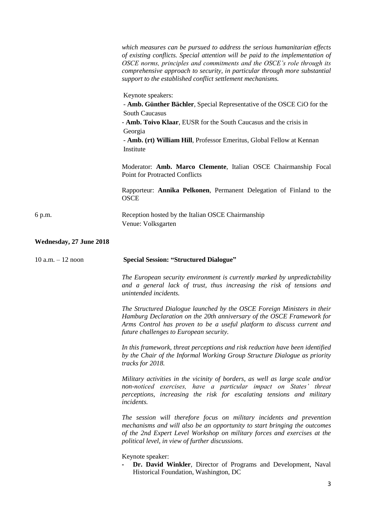|                         | which measures can be pursued to address the serious humanitarian effects<br>of existing conflicts. Special attention will be paid to the implementation of<br>OSCE norms, principles and commitments and the OSCE's role through its<br>comprehensive approach to security, in particular through more substantial<br>support to the established conflict settlement mechanisms. |
|-------------------------|-----------------------------------------------------------------------------------------------------------------------------------------------------------------------------------------------------------------------------------------------------------------------------------------------------------------------------------------------------------------------------------|
|                         | Keynote speakers:<br>- Amb. Günther Bächler, Special Representative of the OSCE CiO for the<br><b>South Caucasus</b><br>- Amb. Toivo Klaar, EUSR for the South Caucasus and the crisis in<br>Georgia<br>- Amb. (rt) William Hill, Professor Emeritus, Global Fellow at Kennan<br>Institute                                                                                        |
|                         | Moderator: Amb. Marco Clemente, Italian OSCE Chairmanship Focal<br><b>Point for Protracted Conflicts</b>                                                                                                                                                                                                                                                                          |
|                         | Rapporteur: Annika Pelkonen, Permanent Delegation of Finland to the<br><b>OSCE</b>                                                                                                                                                                                                                                                                                                |
| 6 p.m.                  | Reception hosted by the Italian OSCE Chairmanship<br>Venue: Volksgarten                                                                                                                                                                                                                                                                                                           |
| Wednesday, 27 June 2018 |                                                                                                                                                                                                                                                                                                                                                                                   |
| $10 a.m. - 12 noon$     | <b>Special Session: "Structured Dialogue"</b>                                                                                                                                                                                                                                                                                                                                     |
|                         | The European security environment is currently marked by unpredictability<br>and a general lack of trust, thus increasing the risk of tensions and<br>unintended incidents.                                                                                                                                                                                                       |
|                         | The Structured Dialogue launched by the OSCE Foreign Ministers in their<br>Hamburg Declaration on the 20th anniversary of the OSCE Framework for<br>Arms Control has proven to be a useful platform to discuss current and<br>future challenges to European security.                                                                                                             |
|                         | In this framework, threat perceptions and risk reduction have been identified<br>by the Chair of the Informal Working Group Structure Dialogue as priority<br>tracks for 2018.                                                                                                                                                                                                    |
|                         | Military activities in the vicinity of borders, as well as large scale and/or<br>non-noticed exercises, have a particular impact on States' threat<br>perceptions, increasing the risk for escalating tensions and military<br>incidents.                                                                                                                                         |
|                         | The session will therefore focus on military incidents and prevention<br>mechanisms and will also be an opportunity to start bringing the outcomes<br>of the 2nd Expert Level Workshop on military forces and exercises at the<br>political level, in view of further discussions.                                                                                                |
|                         | Keynote speaker:<br>Dr. David Winkler, Director of Programs and Development, Naval<br>Historical Foundation, Washington, DC                                                                                                                                                                                                                                                       |
|                         | 3                                                                                                                                                                                                                                                                                                                                                                                 |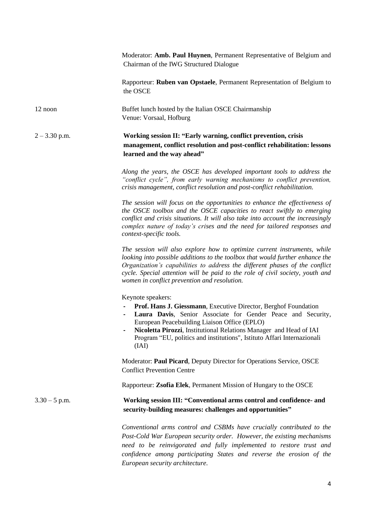Moderator: **Amb. Paul Huynen**, Permanent Representative of Belgium and Chairman of the IWG Structured Dialogue

Rapporteur: **Ruben van Opstaele**, Permanent Representation of Belgium to the OSCE

12 noon Buffet lunch hosted by the Italian OSCE Chairmanship Venue: Vorsaal, Hofburg

## 2 – 3.30 p.m. **Working session II: "Early warning, conflict prevention, crisis management, conflict resolution and post-conflict rehabilitation: lessons learned and the way ahead"**

*Along the years, the OSCE has developed important tools to address the "conflict cycle", from early warning mechanisms to conflict prevention, crisis management, conflict resolution and post-conflict rehabilitation.* 

*The session will focus on the opportunities to enhance the effectiveness of the OSCE toolbox and the OSCE capacities to react swiftly to emerging conflict and crisis situations. It will also take into account the increasingly complex nature of today's crises and the need for tailored responses and context-specific tools.* 

*The session will also explore how to optimize current instruments, while looking into possible additions to the toolbox that would further enhance the Organization's capabilities to address the different phases of the conflict cycle. Special attention will be paid to the role of civil society, youth and women in conflict prevention and resolution.* 

Keynote speakers:

- **- Prof. Hans J. Giessmann**, Executive Director, Berghof Foundation
- **- Laura Davis**, Senior Associate for Gender Peace and Security, European Peacebuilding Liaison Office (EPLO)
- **- Nicoletta Pirozzi**, Institutional Relations Manager and Head of IAI Program "EU, politics and institutions", Istituto Affari Internazionali (IAI)

Moderator: **Paul Picard**, Deputy Director for Operations Service, OSCE Conflict Prevention Centre

Rapporteur: **Zsofia Elek**, Permanent Mission of Hungary to the OSCE

#### 3.30 – 5 p.m. **Working session III: "Conventional arms control and confidence- and security-building measures: challenges and opportunities"**

*Conventional arms control and CSBMs have crucially contributed to the Post-Cold War European security order. However, the existing mechanisms need to be reinvigorated and fully implemented to restore trust and confidence among participating States and reverse the erosion of the European security architecture.*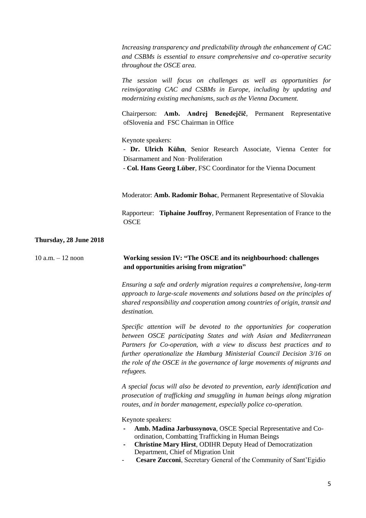*Increasing transparency and predictability through the enhancement of CAC and CSBMs is essential to ensure comprehensive and co-operative security throughout the OSCE area.* 

*The session will focus on challenges as well as opportunities for reinvigorating CAC and CSBMs in Europe, including by updating and modernizing existing mechanisms, such as the Vienna Document.* 

Chairperson: **Amb. Andrej Benedejčič**, Permanent Representative ofSlovenia and FSC Chairman in Office

Keynote speakers:

- **Dr. Ulrich Kühn**, Senior Research Associate, Vienna Center for Disarmament and Non‑Proliferation

- **Col. Hans Georg Lüber**, FSC Coordinator for the Vienna Document

Moderator: **Amb. Radomir Bohac**, Permanent Representative of Slovakia

Rapporteur: **Tiphaine Jouffroy**, Permanent Representation of France to the **OSCE** 

#### **Thursday, 28 June 2018**

### 10 a.m. – 12 noon **Working session IV: "The OSCE and its neighbourhood: challenges and opportunities arising from migration"**

*Ensuring a safe and orderly migration requires a comprehensive, long-term approach to large-scale movements and solutions based on the principles of shared responsibility and cooperation among countries of origin, transit and destination.* 

*Specific attention will be devoted to the opportunities for cooperation between OSCE participating States and with Asian and Mediterranean Partners for Co-operation, with a view to discuss best practices and to further operationalize the Hamburg Ministerial Council Decision 3/16 on the role of the OSCE in the governance of large movements of migrants and refugees.* 

*A special focus will also be devoted to prevention, early identification and prosecution of trafficking and smuggling in human beings along migration routes, and in border management, especially police co-operation.* 

Keynote speakers:

- **- Amb. Madina Jarbussynova**, OSCE Special Representative and Coordination, Combatting Trafficking in Human Beings
- **- Christine Mary Hirst**, ODIHR Deputy Head of Democratization Department, Chief of Migration Unit
- **Cesare Zucconi**, Secretary General of the Community of Sant'Egidio